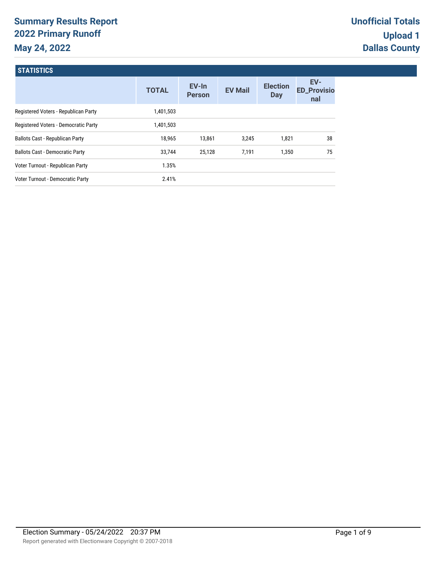# **Summary Results Report 2022 Primary Runoff May 24, 2022**

| <b>TOTAL</b> | EV-In<br><b>Person</b> | <b>EV Mail</b> | <b>Election</b><br><b>Day</b> | EV-<br><b>ED_Provisio</b><br>nal |
|--------------|------------------------|----------------|-------------------------------|----------------------------------|
| 1,401,503    |                        |                |                               |                                  |
| 1,401,503    |                        |                |                               |                                  |
| 18,965       | 13,861                 | 3,245          | 1,821                         | 38                               |
| 33,744       | 25,128                 | 7,191          | 1,350                         | 75                               |
| 1.35%        |                        |                |                               |                                  |
| 2.41%        |                        |                |                               |                                  |
|              |                        |                |                               |                                  |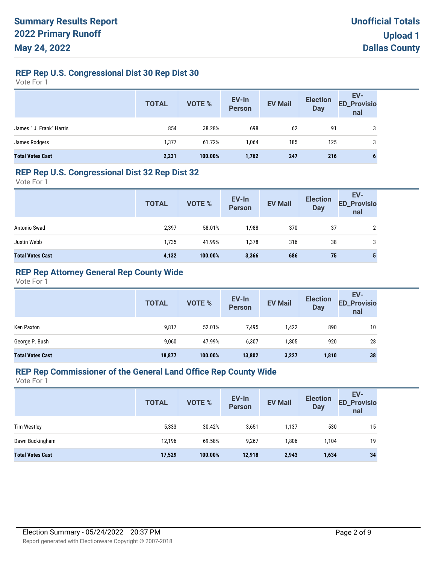# **REP Rep U.S. Congressional Dist 30 Rep Dist 30**

Vote For 1

|                          | <b>TOTAL</b> | VOTE %  | EV-In<br>Person | <b>EV Mail</b> | <b>Election</b><br><b>Day</b> | EV-<br>ED_Provisio<br>nal |
|--------------------------|--------------|---------|-----------------|----------------|-------------------------------|---------------------------|
| James " J. Frank" Harris | 854          | 38.28%  | 698             | 62             | 91                            | 3                         |
| James Rodgers            | 1,377        | 61.72%  | 1,064           | 185            | 125                           | 3                         |
| <b>Total Votes Cast</b>  | 2,231        | 100.00% | 1,762           | 247            | 216                           | 6                         |

#### **REP Rep U.S. Congressional Dist 32 Rep Dist 32**

Vote For 1

|                         | <b>TOTAL</b> | VOTE %  | EV-In<br>Person | <b>EV Mail</b> | <b>Election</b><br><b>Day</b> | EV-<br><b>ED_Provisio</b><br>nal |
|-------------------------|--------------|---------|-----------------|----------------|-------------------------------|----------------------------------|
| Antonio Swad            | 2,397        | 58.01%  | 1,988           | 370            | 37                            | ↑                                |
| Justin Webb             | 1,735        | 41.99%  | 1,378           | 316            | 38                            | 3                                |
| <b>Total Votes Cast</b> | 4,132        | 100.00% | 3,366           | 686            | 75                            | 5                                |

# **REP Rep Attorney General Rep County Wide**

Vote For 1

|                         | <b>TOTAL</b> | <b>VOTE %</b> | EV-In<br><b>Person</b> | <b>EV Mail</b> | <b>Election</b><br><b>Day</b> | EV-<br><b>ED_Provisio</b><br>nal |
|-------------------------|--------------|---------------|------------------------|----------------|-------------------------------|----------------------------------|
| Ken Paxton              | 9,817        | 52.01%        | 7,495                  | 1,422          | 890                           | 10                               |
| George P. Bush          | 9,060        | 47.99%        | 6,307                  | 1,805          | 920                           | 28                               |
| <b>Total Votes Cast</b> | 18,877       | 100.00%       | 13,802                 | 3,227          | 1,810                         | 38                               |

#### **REP Rep Commissioner of the General Land Office Rep County Wide**

|                         | <b>TOTAL</b> | VOTE %  | EV-In<br>Person | <b>EV Mail</b> | <b>Election</b><br><b>Day</b> | EV-<br><b>ED_Provisio</b><br>nal |
|-------------------------|--------------|---------|-----------------|----------------|-------------------------------|----------------------------------|
| <b>Tim Westley</b>      | 5,333        | 30.42%  | 3,651           | 1,137          | 530                           | 15                               |
| Dawn Buckingham         | 12,196       | 69.58%  | 9,267           | 1,806          | 1,104                         | 19                               |
| <b>Total Votes Cast</b> | 17,529       | 100.00% | 12,918          | 2,943          | 1,634                         | 34                               |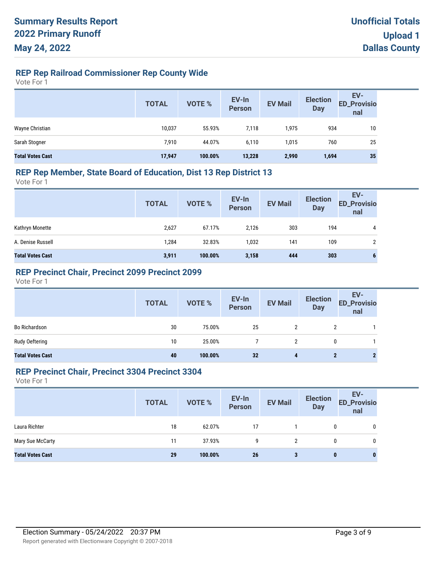# **REP Rep Railroad Commissioner Rep County Wide**

Vote For 1

|                         | <b>TOTAL</b> | VOTE %  | EV-In<br>Person | <b>EV Mail</b> | <b>Election</b><br><b>Day</b> | EV-<br><b>ED_Provisio</b><br>nal |
|-------------------------|--------------|---------|-----------------|----------------|-------------------------------|----------------------------------|
| Wayne Christian         | 10,037       | 55.93%  | 7,118           | 1,975          | 934                           | 10                               |
| Sarah Stogner           | 7,910        | 44.07%  | 6,110           | 1,015          | 760                           | 25                               |
| <b>Total Votes Cast</b> | 17,947       | 100.00% | 13,228          | 2,990          | 1,694                         | 35                               |

### **REP Rep Member, State Board of Education, Dist 13 Rep District 13**

Vote For 1

|                         | <b>TOTAL</b> | VOTE %  | EV-In<br>Person | <b>EV Mail</b> | <b>Election</b><br><b>Day</b> | EV-<br><b>ED_Provisio</b><br>nal |
|-------------------------|--------------|---------|-----------------|----------------|-------------------------------|----------------------------------|
| Kathryn Monette         | 2,627        | 67.17%  | 2.126           | 303            | 194                           | 4                                |
| A. Denise Russell       | 1,284        | 32.83%  | 1,032           | 141            | 109                           | 2                                |
| <b>Total Votes Cast</b> | 3,911        | 100.00% | 3,158           | 444            | 303                           | 6                                |

### **REP Precinct Chair, Precinct 2099 Precinct 2099**

Vote For 1

|                         | <b>TOTAL</b> | VOTE %  | EV-In<br>Person | <b>EV Mail</b> | <b>Election</b><br><b>Day</b> | EV-<br>ED_Provisio<br>nal |
|-------------------------|--------------|---------|-----------------|----------------|-------------------------------|---------------------------|
| Bo Richardson           | 30           | 75.00%  | 25              |                |                               |                           |
| Rudy Oeftering          | 10           | 25.00%  |                 |                | 0                             |                           |
| <b>Total Votes Cast</b> | 40           | 100.00% | 32              | 4              | 2                             |                           |

#### **REP Precinct Chair, Precinct 3304 Precinct 3304**

|                         | <b>TOTAL</b> | VOTE %  | EV-In<br>Person | <b>EV Mail</b> | <b>Election</b><br><b>Day</b> | EV-<br><b>ED_Provisio</b><br>nal |
|-------------------------|--------------|---------|-----------------|----------------|-------------------------------|----------------------------------|
| Laura Richter           | 18           | 62.07%  | 17              |                | 0                             | 0                                |
| Mary Sue McCarty        | 11           | 37.93%  | g               | 2              | 0                             | 0                                |
| <b>Total Votes Cast</b> | 29           | 100.00% | 26              | 3              | $\bf{0}$                      | $\bf{0}$                         |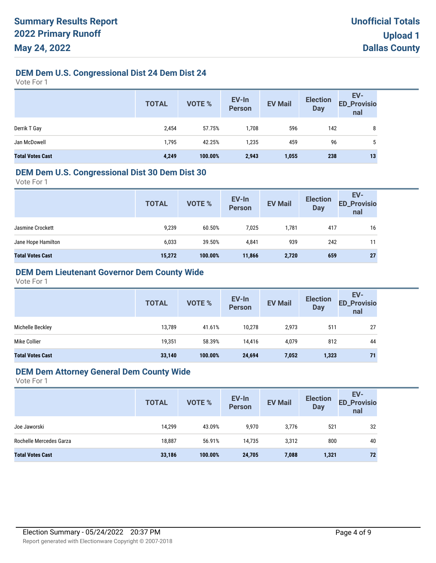# **DEM Dem U.S. Congressional Dist 24 Dem Dist 24**

Vote For 1

|                         | <b>TOTAL</b> | <b>VOTE %</b> | EV-In<br><b>Person</b> | <b>EV Mail</b> | <b>Election</b><br><b>Day</b> | EV-<br>ED_Provisio<br>nal |
|-------------------------|--------------|---------------|------------------------|----------------|-------------------------------|---------------------------|
| Derrik T Gay            | 2,454        | 57.75%        | 1,708                  | 596            | 142                           | 8                         |
| Jan McDowell            | 1,795        | 42.25%        | 1,235                  | 459            | 96                            | 5                         |
| <b>Total Votes Cast</b> | 4,249        | 100.00%       | 2,943                  | 1,055          | 238                           | 13                        |

#### **DEM Dem U.S. Congressional Dist 30 Dem Dist 30**

Vote For 1

| <b>TOTAL</b> | <b>VOTE %</b> | EV-In<br><b>Person</b> | <b>EV Mail</b> | <b>Election</b><br><b>Day</b> | EV-<br><b>ED_Provisio</b><br>nal |
|--------------|---------------|------------------------|----------------|-------------------------------|----------------------------------|
| 9,239        | 60.50%        | 7,025                  | 1,781          | 417                           | 16                               |
| 6,033        | 39.50%        | 4,841                  | 939            | 242                           | 11                               |
| 15,272       | 100.00%       | 11,866                 | 2,720          | 659                           | 27                               |
|              |               |                        |                |                               |                                  |

# **DEM Dem Lieutenant Governor Dem County Wide**

Vote For 1

|                         | <b>TOTAL</b> | VOTE %  | EV-In<br><b>Person</b> | <b>EV Mail</b> | <b>Election</b><br><b>Day</b> | EV-<br><b>ED_Provisio</b><br>nal |
|-------------------------|--------------|---------|------------------------|----------------|-------------------------------|----------------------------------|
| Michelle Beckley        | 13.789       | 41.61%  | 10.278                 | 2,973          | 511                           | 27                               |
| Mike Collier            | 19,351       | 58.39%  | 14,416                 | 4,079          | 812                           | 44                               |
| <b>Total Votes Cast</b> | 33,140       | 100.00% | 24,694                 | 7,052          | 1,323                         | 71                               |

#### **DEM Dem Attorney General Dem County Wide**

|                         | <b>TOTAL</b> | VOTE %  | EV-In<br>Person | <b>EV Mail</b> | <b>Election</b><br><b>Day</b> | EV-<br><b>ED_Provisio</b><br>nal |
|-------------------------|--------------|---------|-----------------|----------------|-------------------------------|----------------------------------|
| Joe Jaworski            | 14.299       | 43.09%  | 9,970           | 3,776          | 521                           | 32                               |
| Rochelle Mercedes Garza | 18.887       | 56.91%  | 14.735          | 3,312          | 800                           | 40                               |
| <b>Total Votes Cast</b> | 33,186       | 100.00% | 24,705          | 7,088          | 1,321                         | 72                               |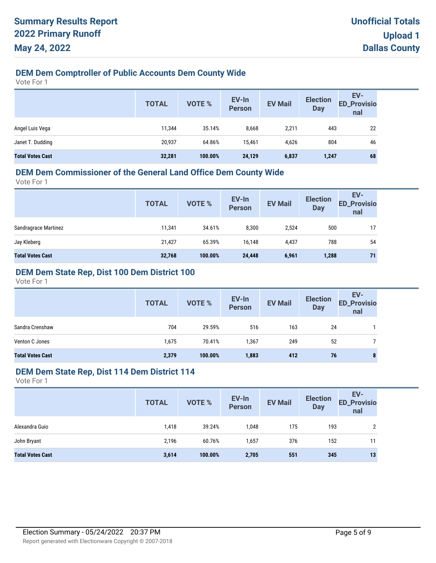# **DEM Dem Comptroller of Public Accounts Dem County Wide**

Vote For 1

|                         | <b>TOTAL</b> | <b>VOTE %</b> | EV-In<br>Person | <b>EV Mail</b> | <b>Election</b><br><b>Day</b> | EV-<br><b>ED_Provisio</b><br>nal |
|-------------------------|--------------|---------------|-----------------|----------------|-------------------------------|----------------------------------|
| Angel Luis Vega         | 11.344       | 35.14%        | 8,668           | 2,211          | 443                           | 22                               |
| Janet T. Dudding        | 20,937       | 64.86%        | 15.461          | 4,626          | 804                           | 46                               |
| <b>Total Votes Cast</b> | 32,281       | 100.00%       | 24,129          | 6,837          | 1,247                         | 68                               |

# **DEM Dem Commissioner of the General Land Office Dem County Wide**

Vote For 1

| <b>TOTAL</b> | VOTE %  | EV-In<br><b>Person</b> | <b>EV Mail</b> | <b>Election</b><br><b>Day</b> | EV-<br><b>ED_Provisio</b><br>nal |
|--------------|---------|------------------------|----------------|-------------------------------|----------------------------------|
| 11,341       | 34.61%  | 8,300                  | 2,524          | 500                           | 17                               |
| 21,427       | 65.39%  | 16,148                 | 4,437          | 788                           | 54                               |
| 32,768       | 100.00% | 24,448                 | 6,961          | 1,288                         | 71                               |
|              |         |                        |                |                               |                                  |

# **DEM Dem State Rep, Dist 100 Dem District 100**

Vote For 1

|                         | <b>TOTAL</b> | <b>VOTE %</b> | EV-In<br><b>Person</b> | <b>EV Mail</b> | <b>Election</b><br><b>Day</b> | EV-<br><b>ED_Provisio</b><br>nal |
|-------------------------|--------------|---------------|------------------------|----------------|-------------------------------|----------------------------------|
| Sandra Crenshaw         | 704          | 29.59%        | 516                    | 163            | 24                            |                                  |
| Venton C Jones          | 1,675        | 70.41%        | 1,367                  | 249            | 52                            |                                  |
| <b>Total Votes Cast</b> | 2,379        | 100.00%       | 1,883                  | 412            | 76                            | 8                                |

#### **DEM Dem State Rep, Dist 114 Dem District 114**

|                         | <b>TOTAL</b> | VOTE %  | EV-In<br>Person | <b>EV Mail</b> | <b>Election</b><br><b>Day</b> | EV-<br><b>ED_Provisio</b><br>nal |
|-------------------------|--------------|---------|-----------------|----------------|-------------------------------|----------------------------------|
| Alexandra Guio          | 1,418        | 39.24%  | 1,048           | 175            | 193                           | າ                                |
| John Bryant             | 2,196        | 60.76%  | 1,657           | 376            | 152                           | 11                               |
| <b>Total Votes Cast</b> | 3,614        | 100.00% | 2,705           | 551            | 345                           | 13                               |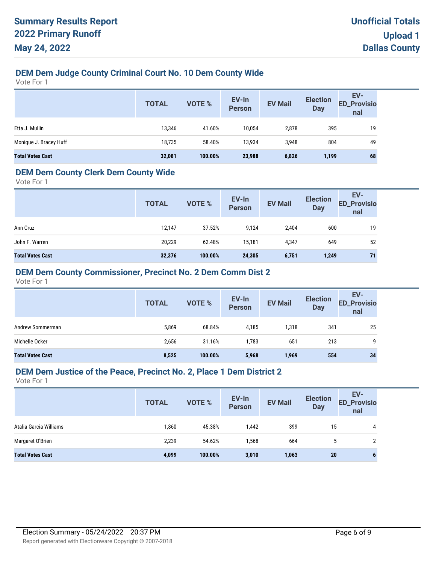# **DEM Dem Judge County Criminal Court No. 10 Dem County Wide**

Vote For 1

|                         | <b>TOTAL</b> | VOTE %  | EV-In<br>Person | <b>EV Mail</b> | <b>Election</b><br><b>Day</b> | EV-<br><b>ED_Provisio</b><br>nal |
|-------------------------|--------------|---------|-----------------|----------------|-------------------------------|----------------------------------|
| Etta J. Mullin          | 13,346       | 41.60%  | 10,054          | 2,878          | 395                           | 19                               |
| Monique J. Bracey Huff  | 18,735       | 58.40%  | 13,934          | 3,948          | 804                           | 49                               |
| <b>Total Votes Cast</b> | 32,081       | 100.00% | 23,988          | 6,826          | 1,199                         | 68                               |

#### **DEM Dem County Clerk Dem County Wide**

Vote For 1

|                         | <b>TOTAL</b> | <b>VOTE %</b> | EV-In<br><b>Person</b> | <b>EV Mail</b> | <b>Election</b><br><b>Day</b> | EV-<br><b>ED_Provisio</b><br>nal |
|-------------------------|--------------|---------------|------------------------|----------------|-------------------------------|----------------------------------|
| Ann Cruz                | 12,147       | 37.52%        | 9,124                  | 2,404          | 600                           | 19                               |
| John F. Warren          | 20,229       | 62.48%        | 15.181                 | 4,347          | 649                           | 52                               |
| <b>Total Votes Cast</b> | 32,376       | 100.00%       | 24,305                 | 6,751          | 1,249                         | 71                               |

### **DEM Dem County Commissioner, Precinct No. 2 Dem Comm Dist 2**

Vote For 1

|                         | <b>TOTAL</b> | <b>VOTE %</b> | EV-In<br>Person | <b>EV Mail</b> | <b>Election</b><br><b>Day</b> | EV-<br><b>ED_Provisio</b><br>nal |
|-------------------------|--------------|---------------|-----------------|----------------|-------------------------------|----------------------------------|
| Andrew Sommerman        | 5,869        | 68.84%        | 4,185           | 1,318          | 341                           | 25                               |
| Michelle Ocker          | 2,656        | 31.16%        | 1,783           | 651            | 213                           | 9                                |
| <b>Total Votes Cast</b> | 8,525        | 100.00%       | 5,968           | 1,969          | 554                           | 34                               |

#### **DEM Dem Justice of the Peace, Precinct No. 2, Place 1 Dem District 2**

|                         | <b>TOTAL</b> | <b>VOTE %</b> | EV-In<br><b>Person</b> | <b>EV Mail</b> | <b>Election</b><br><b>Day</b> | EV-<br><b>ED_Provisio</b><br>nal |
|-------------------------|--------------|---------------|------------------------|----------------|-------------------------------|----------------------------------|
| Atalia Garcia Williams  | 1,860        | 45.38%        | 1,442                  | 399            | 15                            | 4                                |
| Margaret O'Brien        | 2,239        | 54.62%        | 1,568                  | 664            | C                             |                                  |
| <b>Total Votes Cast</b> | 4,099        | 100.00%       | 3,010                  | 1,063          | 20                            |                                  |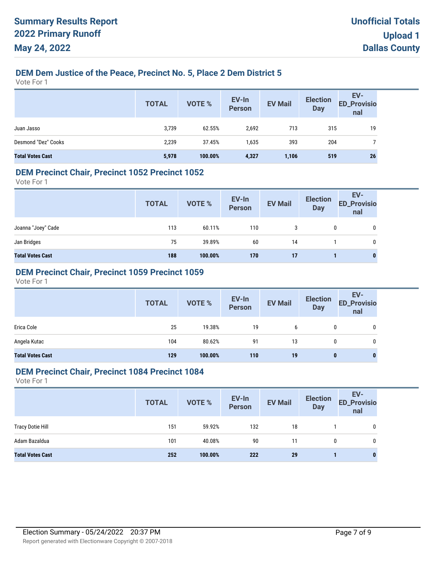# **DEM Dem Justice of the Peace, Precinct No. 5, Place 2 Dem District 5**

Vote For 1

|                         | <b>TOTAL</b> | <b>VOTE %</b> | EV-In<br>Person | <b>EV Mail</b> | <b>Election</b><br><b>Day</b> | EV-<br>ED_Provisio<br>nal |
|-------------------------|--------------|---------------|-----------------|----------------|-------------------------------|---------------------------|
| Juan Jasso              | 3,739        | 62.55%        | 2,692           | 713            | 315                           | 19                        |
| Desmond "Dez" Cooks     | 2,239        | 37.45%        | 1,635           | 393            | 204                           |                           |
| <b>Total Votes Cast</b> | 5,978        | 100.00%       | 4,327           | 1,106          | 519                           | 26                        |

#### **DEM Precinct Chair, Precinct 1052 Precinct 1052**

Vote For 1

|                         | <b>TOTAL</b> | VOTE %  | EV-In<br>Person | <b>EV Mail</b> | <b>Election</b><br><b>Day</b> | EV-<br>ED_Provisio<br>nal |
|-------------------------|--------------|---------|-----------------|----------------|-------------------------------|---------------------------|
| Joanna "Joey" Cade      | 113          | 60.11%  | 110             | 3              | 0                             | 0                         |
| Jan Bridges             | 75           | 39.89%  | 60              | 14             |                               | 0                         |
| <b>Total Votes Cast</b> | 188          | 100.00% | 170             | 17             |                               | 0                         |

# **DEM Precinct Chair, Precinct 1059 Precinct 1059**

Vote For 1

|                         | <b>TOTAL</b> | VOTE %  | EV-In<br>Person | <b>EV Mail</b> | <b>Election</b><br><b>Day</b> | EV-<br>ED_Provisio<br>nal |
|-------------------------|--------------|---------|-----------------|----------------|-------------------------------|---------------------------|
| Erica Cole              | 25           | 19.38%  | 19              | 6              | 0                             | 0                         |
| Angela Kutac            | 104          | 80.62%  | 91              | 13             | 0                             | 0                         |
| <b>Total Votes Cast</b> | 129          | 100.00% | 110             | 19             | $\bf{0}$                      | 0                         |

#### **DEM Precinct Chair, Precinct 1084 Precinct 1084**

|                         | <b>TOTAL</b> | <b>VOTE %</b> | EV-In<br>Person | <b>EV Mail</b> | <b>Election</b><br><b>Day</b> | EV-<br><b>ED_Provisio</b><br>nal |
|-------------------------|--------------|---------------|-----------------|----------------|-------------------------------|----------------------------------|
| <b>Tracy Dotie Hill</b> | 151          | 59.92%        | 132             | 18             |                               | 0                                |
| Adam Bazaldua           | 101          | 40.08%        | 90              | 11             | $\mathbf{0}$                  | 0                                |
| <b>Total Votes Cast</b> | 252          | 100.00%       | 222             | 29             |                               | $\bf{0}$                         |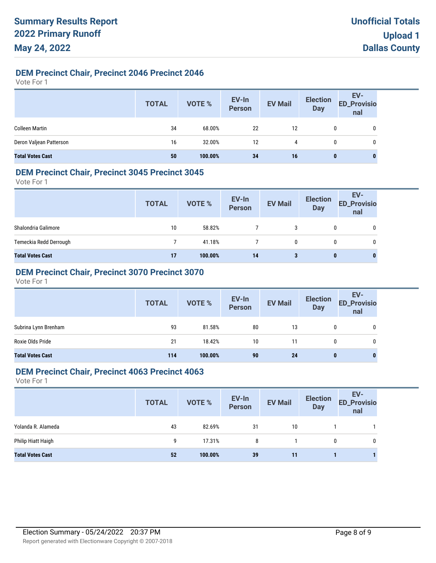# **DEM Precinct Chair, Precinct 2046 Precinct 2046**

Vote For 1

|                         | <b>TOTAL</b> | VOTE %  | EV-In<br>Person | <b>EV Mail</b> | <b>Election</b><br>Day | EV-<br>ED_Provisio<br>nal |
|-------------------------|--------------|---------|-----------------|----------------|------------------------|---------------------------|
| <b>Colleen Martin</b>   | 34           | 68.00%  | 22              | 12             |                        | 0                         |
| Deron Valjean Patterson | 16           | 32.00%  | 12              | 4              | 0                      | 0                         |
| <b>Total Votes Cast</b> | 50           | 100.00% | 34              | 16             | 0                      | 0                         |

### **DEM Precinct Chair, Precinct 3045 Precinct 3045**

Vote For 1

|                         | <b>TOTAL</b> | VOTE %  | EV-In<br>Person | <b>EV Mail</b> | <b>Election</b><br><b>Day</b> | EV-<br><b>ED_Provisio</b><br>nal |
|-------------------------|--------------|---------|-----------------|----------------|-------------------------------|----------------------------------|
| Shalondria Galimore     | 10           | 58.82%  |                 | 3              | $\mathbf{0}$                  | 0                                |
| Temeckia Redd Derrough  |              | 41.18%  |                 | 0              | $\mathbf{0}$                  | 0                                |
| <b>Total Votes Cast</b> | 17           | 100.00% | 14              | 3              | 0                             | 0                                |

# **DEM Precinct Chair, Precinct 3070 Precinct 3070**

Vote For 1

|                         | <b>TOTAL</b> | VOTE %  | EV-In<br>Person | <b>EV Mail</b> | <b>Election</b><br><b>Day</b> | EV-<br>ED_Provisio<br>nal |
|-------------------------|--------------|---------|-----------------|----------------|-------------------------------|---------------------------|
| Subrina Lynn Brenham    | 93           | 81.58%  | 80              | 13             |                               | 0                         |
| Roxie Olds Pride        | 21           | 18.42%  | 10              | 11             | 0                             | 0                         |
| <b>Total Votes Cast</b> | 114          | 100.00% | 90              | 24             | $\bf{0}$                      | $\bf{0}$                  |

### **DEM Precinct Chair, Precinct 4063 Precinct 4063**

|                         | <b>TOTAL</b> | <b>VOTE %</b> | EV-In<br>Person | <b>EV Mail</b> | <b>Election</b><br><b>Day</b> | EV-<br><b>ED_Provisio</b><br>nal |
|-------------------------|--------------|---------------|-----------------|----------------|-------------------------------|----------------------------------|
| Yolanda R. Alameda      | 43           | 82.69%        | 31              | 10             |                               |                                  |
| Philip Hiatt Haigh      | 9            | 17.31%        | 8               |                | 0                             | 0                                |
| <b>Total Votes Cast</b> | 52           | 100.00%       | 39              | 11             |                               |                                  |